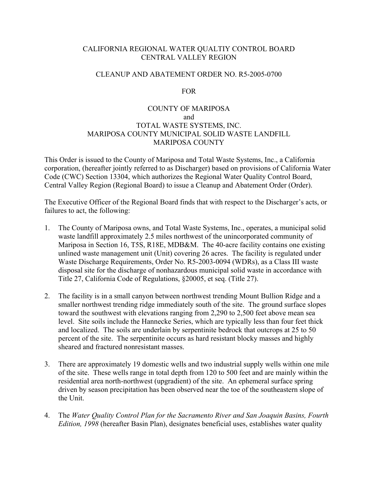# CALIFORNIA REGIONAL WATER QUALTIY CONTROL BOARD CENTRAL VALLEY REGION

### CLEANUP AND ABATEMENT ORDER NO. R5-2005-0700

#### FOR

# COUNTY OF MARIPOSA and TOTAL WASTE SYSTEMS, INC. MARIPOSA COUNTY MUNICIPAL SOLID WASTE LANDFILL MARIPOSA COUNTY

This Order is issued to the County of Mariposa and Total Waste Systems, Inc., a California corporation, (hereafter jointly referred to as Discharger) based on provisions of California Water Code (CWC) Section 13304, which authorizes the Regional Water Quality Control Board, Central Valley Region (Regional Board) to issue a Cleanup and Abatement Order (Order).

The Executive Officer of the Regional Board finds that with respect to the Discharger's acts, or failures to act, the following:

- 1. The County of Mariposa owns, and Total Waste Systems, Inc., operates, a municipal solid waste landfill approximately 2.5 miles northwest of the unincorporated community of Mariposa in Section 16, T5S, R18E, MDB&M. The 40-acre facility contains one existing unlined waste management unit (Unit) covering 26 acres. The facility is regulated under Waste Discharge Requirements, Order No. R5-2003-0094 (WDRs), as a Class III waste disposal site for the discharge of nonhazardous municipal solid waste in accordance with Title 27, California Code of Regulations, §20005, et seq. (Title 27).
- 2. The facility is in a small canyon between northwest trending Mount Bullion Ridge and a smaller northwest trending ridge immediately south of the site. The ground surface slopes toward the southwest with elevations ranging from 2,290 to 2,500 feet above mean sea level. Site soils include the Hannecke Series, which are typically less than four feet thick and localized. The soils are underlain by serpentinite bedrock that outcrops at 25 to 50 percent of the site. The serpentinite occurs as hard resistant blocky masses and highly sheared and fractured nonresistant masses.
- 3. There are approximately 19 domestic wells and two industrial supply wells within one mile of the site. These wells range in total depth from 120 to 500 feet and are mainly within the residential area north-northwest (upgradient) of the site. An ephemeral surface spring driven by season precipitation has been observed near the toe of the southeastern slope of the Unit.
- 4. The *Water Quality Control Plan for the Sacramento River and San Joaquin Basins, Fourth Edition, 1998* (hereafter Basin Plan), designates beneficial uses, establishes water quality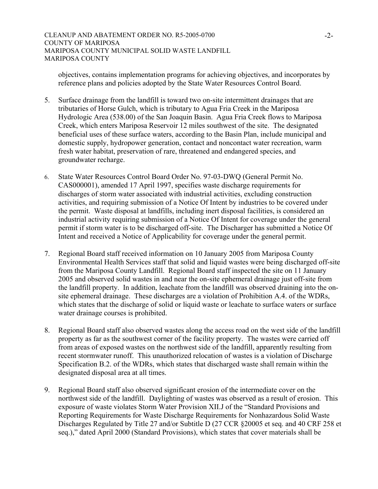objectives, contains implementation programs for achieving objectives, and incorporates by reference plans and policies adopted by the State Water Resources Control Board.

- 5. Surface drainage from the landfill is toward two on-site intermittent drainages that are tributaries of Horse Gulch, which is tributary to Agua Fria Creek in the Mariposa Hydrologic Area (538.00) of the San Joaquin Basin. Agua Fria Creek flows to Mariposa Creek, which enters Mariposa Reservoir 12 miles southwest of the site. The designated beneficial uses of these surface waters, according to the Basin Plan, include municipal and domestic supply, hydropower generation, contact and noncontact water recreation, warm fresh water habitat, preservation of rare, threatened and endangered species, and groundwater recharge.
- 6. State Water Resources Control Board Order No. 97-03-DWQ (General Permit No. CAS000001), amended 17 April 1997, specifies waste discharge requirements for discharges of storm water associated with industrial activities, excluding construction activities, and requiring submission of a Notice Of Intent by industries to be covered under the permit. Waste disposal at landfills, including inert disposal facilities, is considered an industrial activity requiring submission of a Notice Of Intent for coverage under the general permit if storm water is to be discharged off-site. The Discharger has submitted a Notice Of Intent and received a Notice of Applicability for coverage under the general permit.
- 7. Regional Board staff received information on 10 January 2005 from Mariposa County Environmental Health Services staff that solid and liquid wastes were being discharged off-site from the Mariposa County Landfill. Regional Board staff inspected the site on 11 January 2005 and observed solid wastes in and near the on-site ephemeral drainage just off-site from the landfill property. In addition, leachate from the landfill was observed draining into the onsite ephemeral drainage. These discharges are a violation of Prohibition A.4. of the WDRs, which states that the discharge of solid or liquid waste or leachate to surface waters or surface water drainage courses is prohibited.
- 8. Regional Board staff also observed wastes along the access road on the west side of the landfill property as far as the southwest corner of the facility property. The wastes were carried off from areas of exposed wastes on the northwest side of the landfill, apparently resulting from recent stormwater runoff. This unauthorized relocation of wastes is a violation of Discharge Specification B.2. of the WDRs, which states that discharged waste shall remain within the designated disposal area at all times.
- 9. Regional Board staff also observed significant erosion of the intermediate cover on the northwest side of the landfill. Daylighting of wastes was observed as a result of erosion. This exposure of waste violates Storm Water Provision XII.J of the "Standard Provisions and Reporting Requirements for Waste Discharge Requirements for Nonhazardous Solid Waste Discharges Regulated by Title 27 and/or Subtitle D (27 CCR §20005 et seq. and 40 CRF 258 et seq.)," dated April 2000 (Standard Provisions), which states that cover materials shall be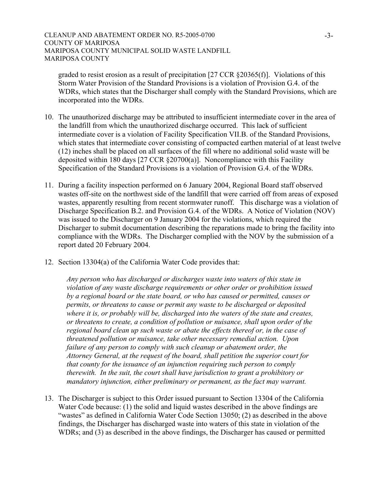graded to resist erosion as a result of precipitation [27 CCR §20365(f)]. Violations of this Storm Water Provision of the Standard Provisions is a violation of Provision G.4. of the WDRs, which states that the Discharger shall comply with the Standard Provisions, which are incorporated into the WDRs.

- 10. The unauthorized discharge may be attributed to insufficient intermediate cover in the area of the landfill from which the unauthorized discharge occurred. This lack of sufficient intermediate cover is a violation of Facility Specification VII.B. of the Standard Provisions, which states that intermediate cover consisting of compacted earthen material of at least twelve (12) inches shall be placed on all surfaces of the fill where no additional solid waste will be deposited within 180 days [27 CCR §20700(a)]. Noncompliance with this Facility Specification of the Standard Provisions is a violation of Provision G.4. of the WDRs.
- 11. During a facility inspection performed on 6 January 2004, Regional Board staff observed wastes off-site on the northwest side of the landfill that were carried off from areas of exposed wastes, apparently resulting from recent stormwater runoff. This discharge was a violation of Discharge Specification B.2. and Provision G.4. of the WDRs. A Notice of Violation (NOV) was issued to the Discharger on 9 January 2004 for the violations, which required the Discharger to submit documentation describing the reparations made to bring the facility into compliance with the WDRs. The Discharger complied with the NOV by the submission of a report dated 20 February 2004.
- 12. Section 13304(a) of the California Water Code provides that:

*Any person who has discharged or discharges waste into waters of this state in violation of any waste discharge requirements or other order or prohibition issued by a regional board or the state board, or who has caused or permitted, causes or permits, or threatens to cause or permit any waste to be discharged or deposited where it is, or probably will be, discharged into the waters of the state and creates, or threatens to create, a condition of pollution or nuisance, shall upon order of the regional board clean up such waste or abate the effects thereof or, in the case of threatened pollution or nuisance, take other necessary remedial action. Upon failure of any person to comply with such cleanup or abatement order, the Attorney General, at the request of the board, shall petition the superior court for that county for the issuance of an injunction requiring such person to comply therewith. In the suit, the court shall have jurisdiction to grant a prohibitory or mandatory injunction, either preliminary or permanent, as the fact may warrant.*

13. The Discharger is subject to this Order issued pursuant to Section 13304 of the California Water Code because: (1) the solid and liquid wastes described in the above findings are "wastes" as defined in California Water Code Section 13050; (2) as described in the above findings, the Discharger has discharged waste into waters of this state in violation of the WDRs; and (3) as described in the above findings, the Discharger has caused or permitted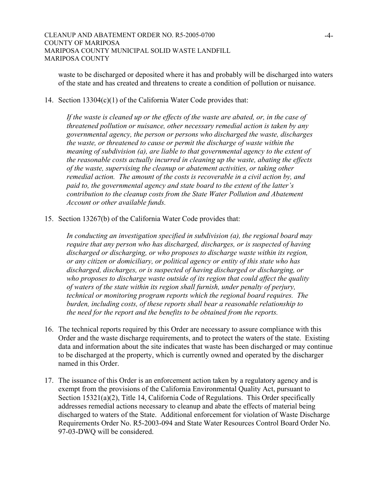waste to be discharged or deposited where it has and probably will be discharged into waters of the state and has created and threatens to create a condition of pollution or nuisance.

### 14. Section 13304(c)(1) of the California Water Code provides that:

*If the waste is cleaned up or the effects of the waste are abated, or, in the case of threatened pollution or nuisance, other necessary remedial action is taken by any governmental agency, the person or persons who discharged the waste, discharges the waste, or threatened to cause or permit the discharge of waste within the meaning of subdivision (a), are liable to that governmental agency to the extent of the reasonable costs actually incurred in cleaning up the waste, abating the effects of the waste, supervising the cleanup or abatement activities, or taking other remedial action. The amount of the costs is recoverable in a civil action by, and paid to, the governmental agency and state board to the extent of the latter's contribution to the cleanup costs from the State Water Pollution and Abatement Account or other available funds.* 

15. Section 13267(b) of the California Water Code provides that:

*In conducting an investigation specified in subdivision (a), the regional board may require that any person who has discharged, discharges, or is suspected of having discharged or discharging, or who proposes to discharge waste within its region, or any citizen or domiciliary, or political agency or entity of this state who has discharged, discharges, or is suspected of having discharged or discharging, or who proposes to discharge waste outside of its region that could affect the quality of waters of the state within its region shall furnish, under penalty of perjury, technical or monitoring program reports which the regional board requires. The burden, including costs, of these reports shall bear a reasonable relationship to the need for the report and the benefits to be obtained from the reports.* 

- 16. The technical reports required by this Order are necessary to assure compliance with this Order and the waste discharge requirements, and to protect the waters of the state. Existing data and information about the site indicates that waste has been discharged or may continue to be discharged at the property, which is currently owned and operated by the discharger named in this Order.
- 17. The issuance of this Order is an enforcement action taken by a regulatory agency and is exempt from the provisions of the California Environmental Quality Act, pursuant to Section 15321(a)(2), Title 14, California Code of Regulations. This Order specifically addresses remedial actions necessary to cleanup and abate the effects of material being discharged to waters of the State. Additional enforcement for violation of Waste Discharge Requirements Order No. R5-2003-094 and State Water Resources Control Board Order No. 97-03-DWQ will be considered.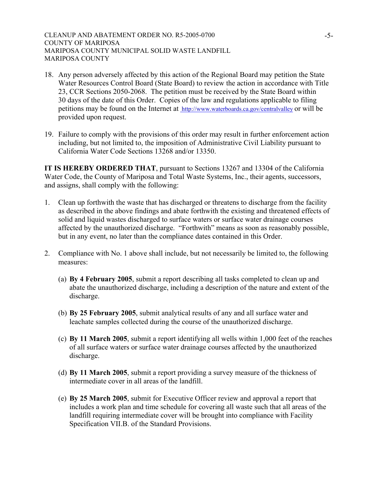- 18. Any person adversely affected by this action of the Regional Board may petition the State Water Resources Control Board (State Board) to review the action in accordance with Title 23, CCR Sections 2050-2068. The petition must be received by the State Board within 30 days of the date of this Order. Copies of the law and regulations applicable to filing petitions may be found on the Internet at http://www.waterboards.ca.gov/centralvalley or will be provided upon request.
- 19. Failure to comply with the provisions of this order may result in further enforcement action including, but not limited to, the imposition of Administrative Civil Liability pursuant to California Water Code Sections 13268 and/or 13350.

**IT IS HEREBY ORDERED THAT**, pursuant to Sections 13267 and 13304 of the California Water Code, the County of Mariposa and Total Waste Systems, Inc., their agents, successors, and assigns, shall comply with the following:

- 1. Clean up forthwith the waste that has discharged or threatens to discharge from the facility as described in the above findings and abate forthwith the existing and threatened effects of solid and liquid wastes discharged to surface waters or surface water drainage courses affected by the unauthorized discharge. "Forthwith" means as soon as reasonably possible, but in any event, no later than the compliance dates contained in this Order.
- 2. Compliance with No. 1 above shall include, but not necessarily be limited to, the following measures:
	- (a) **By 4 February 2005**, submit a report describing all tasks completed to clean up and abate the unauthorized discharge, including a description of the nature and extent of the discharge.
	- (b) **By 25 February 2005**, submit analytical results of any and all surface water and leachate samples collected during the course of the unauthorized discharge.
	- (c) **By 11 March 2005**, submit a report identifying all wells within 1,000 feet of the reaches of all surface waters or surface water drainage courses affected by the unauthorized discharge.
	- (d) **By 11 March 2005**, submit a report providing a survey measure of the thickness of intermediate cover in all areas of the landfill.
	- (e) **By 25 March 2005**, submit for Executive Officer review and approval a report that includes a work plan and time schedule for covering all waste such that all areas of the landfill requiring intermediate cover will be brought into compliance with Facility Specification VII.B. of the Standard Provisions.